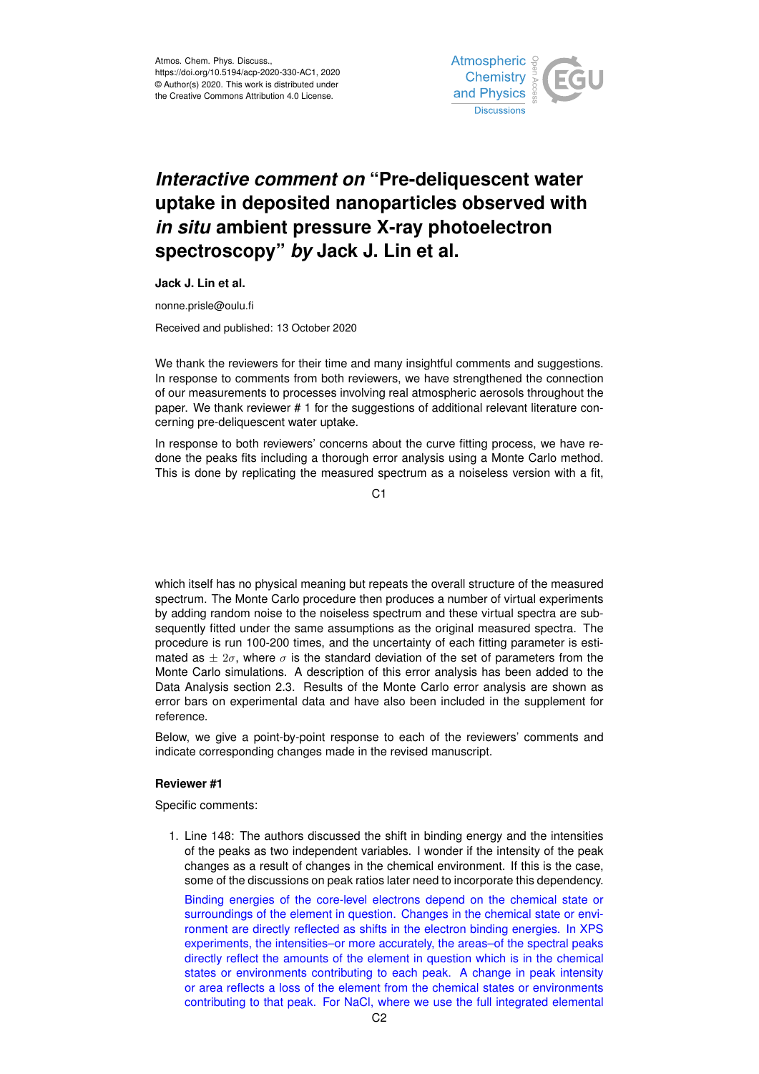

# *Interactive comment on* **"Pre-deliquescent water uptake in deposited nanoparticles observed with** *in situ* **ambient pressure X-ray photoelectron spectroscopy"** *by* **Jack J. Lin et al.**

**Jack J. Lin et al.**

nonne.prisle@oulu.fi

Received and published: 13 October 2020

We thank the reviewers for their time and many insightful comments and suggestions. In response to comments from both reviewers, we have strengthened the connection of our measurements to processes involving real atmospheric aerosols throughout the paper. We thank reviewer # 1 for the suggestions of additional relevant literature concerning pre-deliquescent water uptake.

In response to both reviewers' concerns about the curve fitting process, we have redone the peaks fits including a thorough error analysis using a Monte Carlo method. This is done by replicating the measured spectrum as a noiseless version with a fit,

C1

which itself has no physical meaning but repeats the overall structure of the measured spectrum. The Monte Carlo procedure then produces a number of virtual experiments by adding random noise to the noiseless spectrum and these virtual spectra are subsequently fitted under the same assumptions as the original measured spectra. The procedure is run 100-200 times, and the uncertainty of each fitting parameter is estimated as  $\pm 2\sigma$ , where  $\sigma$  is the standard deviation of the set of parameters from the Monte Carlo simulations. A description of this error analysis has been added to the Data Analysis section 2.3. Results of the Monte Carlo error analysis are shown as error bars on experimental data and have also been included in the supplement for reference.

Below, we give a point-by-point response to each of the reviewers' comments and indicate corresponding changes made in the revised manuscript.

## **Reviewer #1**

Specific comments:

1. Line 148: The authors discussed the shift in binding energy and the intensities of the peaks as two independent variables. I wonder if the intensity of the peak changes as a result of changes in the chemical environment. If this is the case, some of the discussions on peak ratios later need to incorporate this dependency. Binding energies of the core-level electrons depend on the chemical state or surroundings of the element in question. Changes in the chemical state or environment are directly reflected as shifts in the electron binding energies. In XPS experiments, the intensities–or more accurately, the areas–of the spectral peaks directly reflect the amounts of the element in question which is in the chemical states or environments contributing to each peak. A change in peak intensity or area reflects a loss of the element from the chemical states or environments contributing to that peak. For NaCl, where we use the full integrated elemental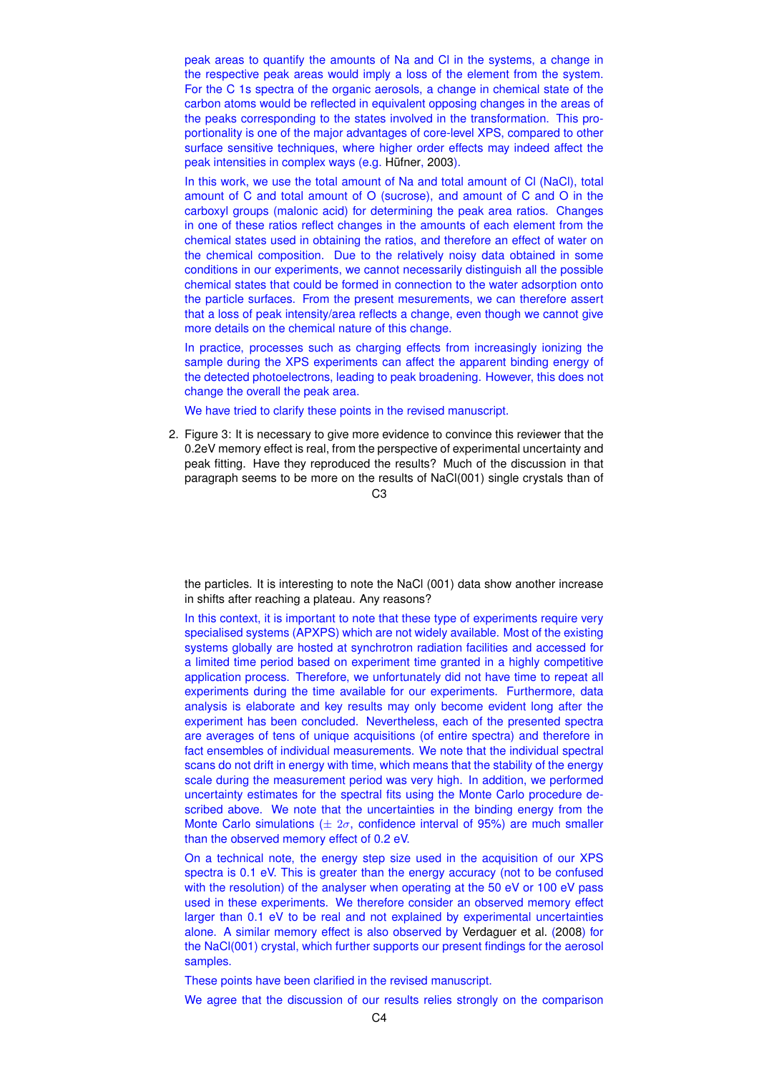peak areas to quantify the amounts of Na and Cl in the systems, a change in the respective peak areas would imply a loss of the element from the system. For the C 1s spectra of the organic aerosols, a change in chemical state of the carbon atoms would be reflected in equivalent opposing changes in the areas of the peaks corresponding to the states involved in the transformation. This proportionality is one of the major advantages of core-level XPS, compared to other surface sensitive techniques, where higher order effects may indeed affect the peak intensities in complex ways (e.g. Hüfner, 2003).

In this work, we use the total amount of Na and total amount of Cl (NaCl), total amount of C and total amount of O (sucrose), and amount of C and O in the carboxyl groups (malonic acid) for determining the peak area ratios. Changes in one of these ratios reflect changes in the amounts of each element from the chemical states used in obtaining the ratios, and therefore an effect of water on the chemical composition. Due to the relatively noisy data obtained in some conditions in our experiments, we cannot necessarily distinguish all the possible chemical states that could be formed in connection to the water adsorption onto the particle surfaces. From the present mesurements, we can therefore assert that a loss of peak intensity/area reflects a change, even though we cannot give more details on the chemical nature of this change.

In practice, processes such as charging effects from increasingly ionizing the sample during the XPS experiments can affect the apparent binding energy of the detected photoelectrons, leading to peak broadening. However, this does not change the overall the peak area.

We have tried to clarify these points in the revised manuscript.

2. Figure 3: It is necessary to give more evidence to convince this reviewer that the 0.2eV memory effect is real, from the perspective of experimental uncertainty and peak fitting. Have they reproduced the results? Much of the discussion in that paragraph seems to be more on the results of NaCl(001) single crystals than of

 $C3$ 

the particles. It is interesting to note the NaCl (001) data show another increase in shifts after reaching a plateau. Any reasons?

In this context, it is important to note that these type of experiments require very specialised systems (APXPS) which are not widely available. Most of the existing systems globally are hosted at synchrotron radiation facilities and accessed for a limited time period based on experiment time granted in a highly competitive application process. Therefore, we unfortunately did not have time to repeat all experiments during the time available for our experiments. Furthermore, data analysis is elaborate and key results may only become evident long after the experiment has been concluded. Nevertheless, each of the presented spectra are averages of tens of unique acquisitions (of entire spectra) and therefore in fact ensembles of individual measurements. We note that the individual spectral scans do not drift in energy with time, which means that the stability of the energy scale during the measurement period was very high. In addition, we performed uncertainty estimates for the spectral fits using the Monte Carlo procedure described above. We note that the uncertainties in the binding energy from the Monte Carlo simulations ( $\pm 2\sigma$ , confidence interval of 95%) are much smaller than the observed memory effect of 0.2 eV.

On a technical note, the energy step size used in the acquisition of our XPS spectra is 0.1 eV. This is greater than the energy accuracy (not to be confused with the resolution) of the analyser when operating at the 50 eV or 100 eV pass used in these experiments. We therefore consider an observed memory effect larger than 0.1 eV to be real and not explained by experimental uncertainties alone. A similar memory effect is also observed by Verdaguer et al. (2008) for the NaCl(001) crystal, which further supports our present findings for the aerosol samples.

These points have been clarified in the revised manuscript.

We agree that the discussion of our results relies strongly on the comparison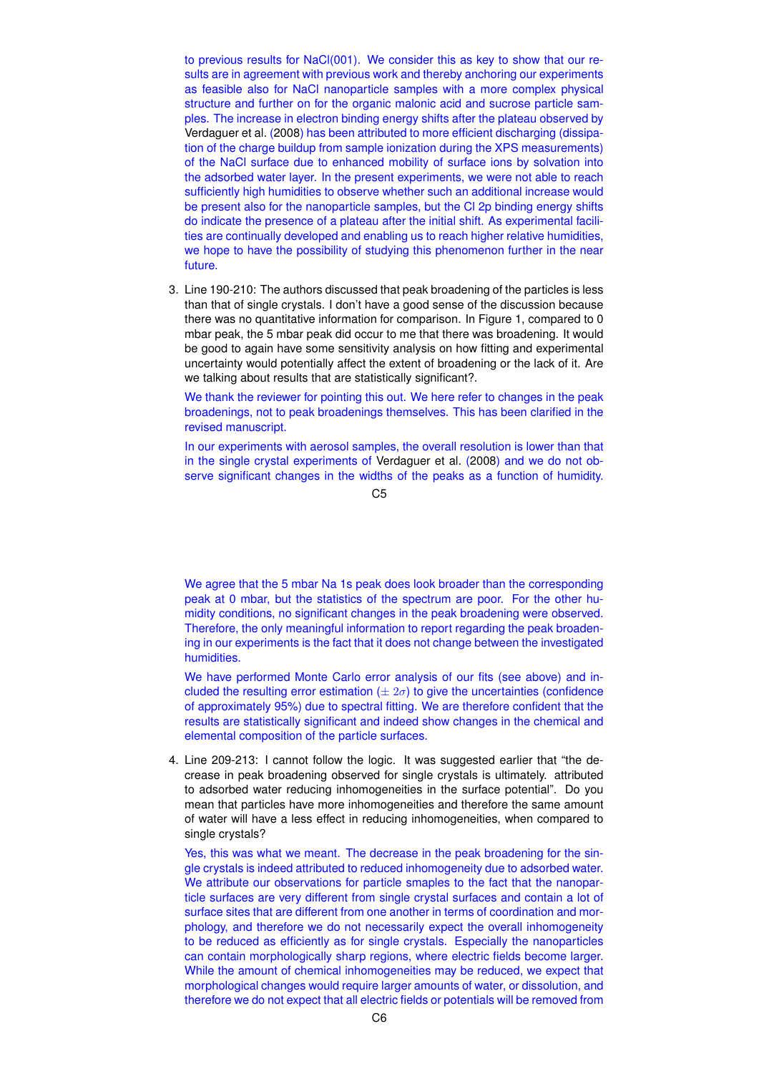to previous results for NaCl(001). We consider this as key to show that our results are in agreement with previous work and thereby anchoring our experiments as feasible also for NaCl nanoparticle samples with a more complex physical structure and further on for the organic malonic acid and sucrose particle samples. The increase in electron binding energy shifts after the plateau observed by Verdaguer et al. (2008) has been attributed to more efficient discharging (dissipation of the charge buildup from sample ionization during the XPS measurements) of the NaCl surface due to enhanced mobility of surface ions by solvation into the adsorbed water layer. In the present experiments, we were not able to reach sufficiently high humidities to observe whether such an additional increase would be present also for the nanoparticle samples, but the Cl 2p binding energy shifts do indicate the presence of a plateau after the initial shift. As experimental facilities are continually developed and enabling us to reach higher relative humidities, we hope to have the possibility of studying this phenomenon further in the near future.

3. Line 190-210: The authors discussed that peak broadening of the particles is less than that of single crystals. I don't have a good sense of the discussion because there was no quantitative information for comparison. In Figure 1, compared to 0 mbar peak, the 5 mbar peak did occur to me that there was broadening. It would be good to again have some sensitivity analysis on how fitting and experimental uncertainty would potentially affect the extent of broadening or the lack of it. Are we talking about results that are statistically significant?.

We thank the reviewer for pointing this out. We here refer to changes in the peak broadenings, not to peak broadenings themselves. This has been clarified in the revised manuscript.

In our experiments with aerosol samples, the overall resolution is lower than that in the single crystal experiments of Verdaguer et al. (2008) and we do not observe significant changes in the widths of the peaks as a function of humidity.

 $C<sub>5</sub>$ 

We agree that the 5 mbar Na 1s peak does look broader than the corresponding peak at 0 mbar, but the statistics of the spectrum are poor. For the other humidity conditions, no significant changes in the peak broadening were observed. Therefore, the only meaningful information to report regarding the peak broadening in our experiments is the fact that it does not change between the investigated humidities.

We have performed Monte Carlo error analysis of our fits (see above) and included the resulting error estimation ( $\pm 2\sigma$ ) to give the uncertainties (confidence of approximately 95%) due to spectral fitting. We are therefore confident that the results are statistically significant and indeed show changes in the chemical and elemental composition of the particle surfaces.

4. Line 209-213: I cannot follow the logic. It was suggested earlier that "the decrease in peak broadening observed for single crystals is ultimately. attributed to adsorbed water reducing inhomogeneities in the surface potential". Do you mean that particles have more inhomogeneities and therefore the same amount of water will have a less effect in reducing inhomogeneities, when compared to single crystals?

Yes, this was what we meant. The decrease in the peak broadening for the single crystals is indeed attributed to reduced inhomogeneity due to adsorbed water. We attribute our observations for particle smaples to the fact that the nanoparticle surfaces are very different from single crystal surfaces and contain a lot of surface sites that are different from one another in terms of coordination and morphology, and therefore we do not necessarily expect the overall inhomogeneity to be reduced as efficiently as for single crystals. Especially the nanoparticles can contain morphologically sharp regions, where electric fields become larger. While the amount of chemical inhomogeneities may be reduced, we expect that morphological changes would require larger amounts of water, or dissolution, and therefore we do not expect that all electric fields or potentials will be removed from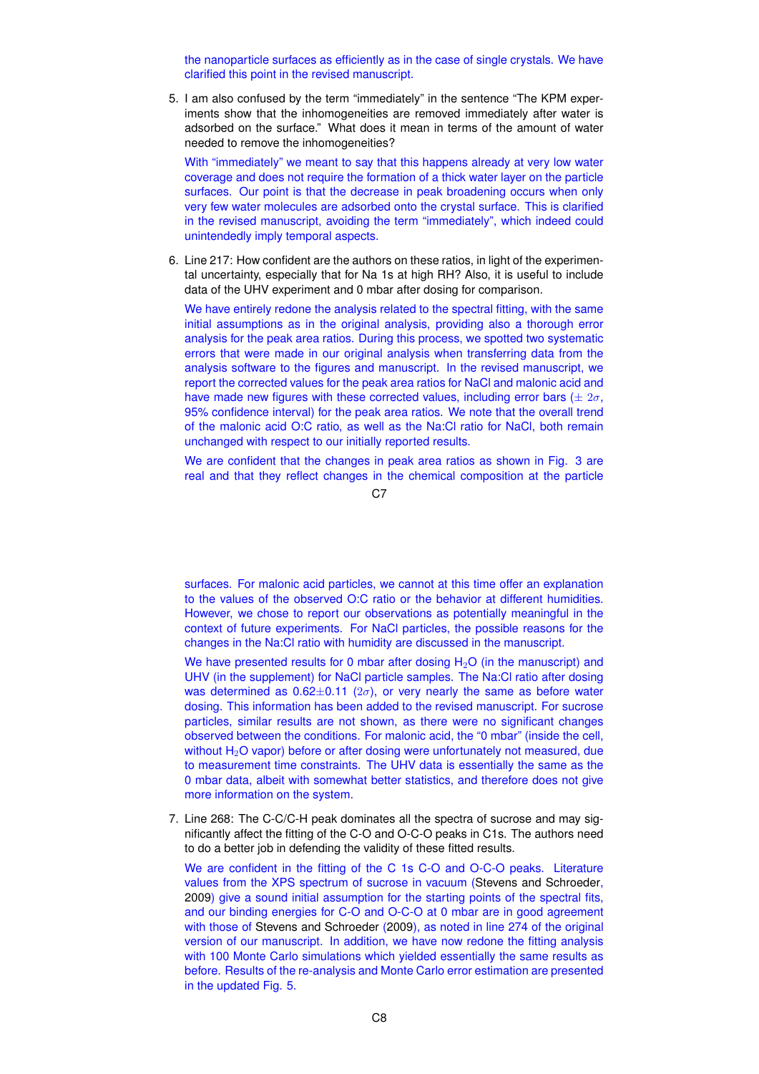the nanoparticle surfaces as efficiently as in the case of single crystals. We have clarified this point in the revised manuscript.

5. I am also confused by the term "immediately" in the sentence "The KPM experiments show that the inhomogeneities are removed immediately after water is adsorbed on the surface." What does it mean in terms of the amount of water needed to remove the inhomogeneities?

With "immediately" we meant to say that this happens already at very low water coverage and does not require the formation of a thick water layer on the particle surfaces. Our point is that the decrease in peak broadening occurs when only very few water molecules are adsorbed onto the crystal surface. This is clarified in the revised manuscript, avoiding the term "immediately", which indeed could unintendedly imply temporal aspects.

6. Line 217: How confident are the authors on these ratios, in light of the experimental uncertainty, especially that for Na 1s at high RH? Also, it is useful to include data of the UHV experiment and 0 mbar after dosing for comparison.

We have entirely redone the analysis related to the spectral fitting, with the same initial assumptions as in the original analysis, providing also a thorough error analysis for the peak area ratios. During this process, we spotted two systematic errors that were made in our original analysis when transferring data from the analysis software to the figures and manuscript. In the revised manuscript, we report the corrected values for the peak area ratios for NaCl and malonic acid and have made new figures with these corrected values, including error bars ( $\pm 2\sigma$ , 95% confidence interval) for the peak area ratios. We note that the overall trend of the malonic acid O:C ratio, as well as the Na:Cl ratio for NaCl, both remain unchanged with respect to our initially reported results.

We are confident that the changes in peak area ratios as shown in Fig. 3 are real and that they reflect changes in the chemical composition at the particle

C<sub>7</sub>

surfaces. For malonic acid particles, we cannot at this time offer an explanation to the values of the observed O:C ratio or the behavior at different humidities. However, we chose to report our observations as potentially meaningful in the context of future experiments. For NaCl particles, the possible reasons for the changes in the Na:Cl ratio with humidity are discussed in the manuscript.

We have presented results for 0 mbar after dosing  $H_2O$  (in the manuscript) and UHV (in the supplement) for NaCl particle samples. The Na:Cl ratio after dosing was determined as  $0.62\pm0.11$  ( $2\sigma$ ), or very nearly the same as before water dosing. This information has been added to the revised manuscript. For sucrose particles, similar results are not shown, as there were no significant changes observed between the conditions. For malonic acid, the "0 mbar" (inside the cell, without H<sub>2</sub>O vapor) before or after dosing were unfortunately not measured, due to measurement time constraints. The UHV data is essentially the same as the 0 mbar data, albeit with somewhat better statistics, and therefore does not give more information on the system.

7. Line 268: The C-C/C-H peak dominates all the spectra of sucrose and may significantly affect the fitting of the C-O and O-C-O peaks in C1s. The authors need to do a better job in defending the validity of these fitted results.

We are confident in the fitting of the C 1s C-O and O-C-O peaks. Literature values from the XPS spectrum of sucrose in vacuum (Stevens and Schroeder, 2009) give a sound initial assumption for the starting points of the spectral fits, and our binding energies for C-O and O-C-O at 0 mbar are in good agreement with those of Stevens and Schroeder (2009), as noted in line 274 of the original version of our manuscript. In addition, we have now redone the fitting analysis with 100 Monte Carlo simulations which yielded essentially the same results as before. Results of the re-analysis and Monte Carlo error estimation are presented in the updated Fig. 5.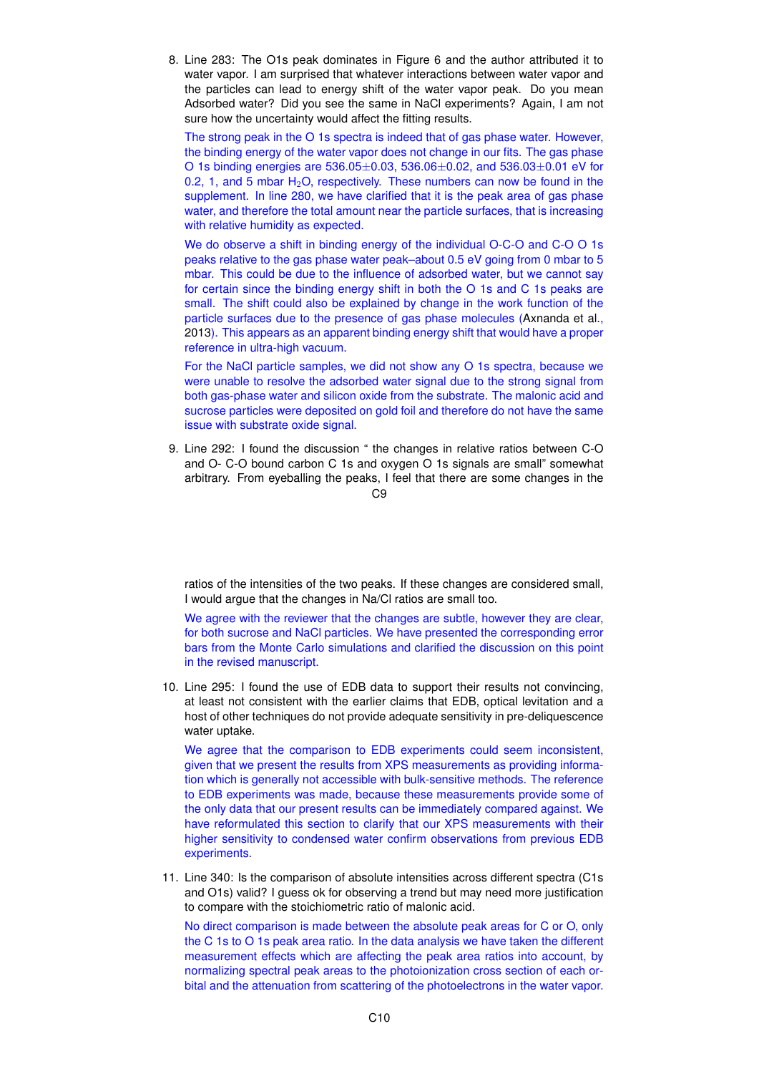8. Line 283: The O1s peak dominates in Figure 6 and the author attributed it to water vapor. I am surprised that whatever interactions between water vapor and the particles can lead to energy shift of the water vapor peak. Do you mean Adsorbed water? Did you see the same in NaCl experiments? Again, I am not sure how the uncertainty would affect the fitting results.

The strong peak in the O 1s spectra is indeed that of gas phase water. However, the binding energy of the water vapor does not change in our fits. The gas phase O 1s binding energies are 536.05±0.03, 536.06±0.02, and 536.03±0.01 eV for 0.2, 1, and 5 mbar  $H_2O$ , respectively. These numbers can now be found in the supplement. In line 280, we have clarified that it is the peak area of gas phase water, and therefore the total amount near the particle surfaces, that is increasing with relative humidity as expected.

We do observe a shift in binding energy of the individual O-C-O and C-O O 1s peaks relative to the gas phase water peak–about 0.5 eV going from 0 mbar to 5 mbar. This could be due to the influence of adsorbed water, but we cannot say for certain since the binding energy shift in both the O 1s and C 1s peaks are small. The shift could also be explained by change in the work function of the particle surfaces due to the presence of gas phase molecules (Axnanda et al., 2013). This appears as an apparent binding energy shift that would have a proper reference in ultra-high vacuum.

For the NaCl particle samples, we did not show any O 1s spectra, because we were unable to resolve the adsorbed water signal due to the strong signal from both gas-phase water and silicon oxide from the substrate. The malonic acid and sucrose particles were deposited on gold foil and therefore do not have the same issue with substrate oxide signal.

9. Line 292: I found the discussion " the changes in relative ratios between C-O and O- C-O bound carbon C 1s and oxygen O 1s signals are small" somewhat arbitrary. From eyeballing the peaks, I feel that there are some changes in the

 $C<sub>9</sub>$ 

ratios of the intensities of the two peaks. If these changes are considered small, I would argue that the changes in Na/Cl ratios are small too.

We agree with the reviewer that the changes are subtle, however they are clear, for both sucrose and NaCl particles. We have presented the corresponding error bars from the Monte Carlo simulations and clarified the discussion on this point in the revised manuscript.

10. Line 295: I found the use of EDB data to support their results not convincing, at least not consistent with the earlier claims that EDB, optical levitation and a host of other techniques do not provide adequate sensitivity in pre-deliquescence water uptake.

We agree that the comparison to EDB experiments could seem inconsistent, given that we present the results from XPS measurements as providing information which is generally not accessible with bulk-sensitive methods. The reference to EDB experiments was made, because these measurements provide some of the only data that our present results can be immediately compared against. We have reformulated this section to clarify that our XPS measurements with their higher sensitivity to condensed water confirm observations from previous EDB experiments.

11. Line 340: Is the comparison of absolute intensities across different spectra (C1s and O1s) valid? I guess ok for observing a trend but may need more justification to compare with the stoichiometric ratio of malonic acid.

No direct comparison is made between the absolute peak areas for C or O, only the C 1s to O 1s peak area ratio. In the data analysis we have taken the different measurement effects which are affecting the peak area ratios into account, by normalizing spectral peak areas to the photoionization cross section of each orbital and the attenuation from scattering of the photoelectrons in the water vapor.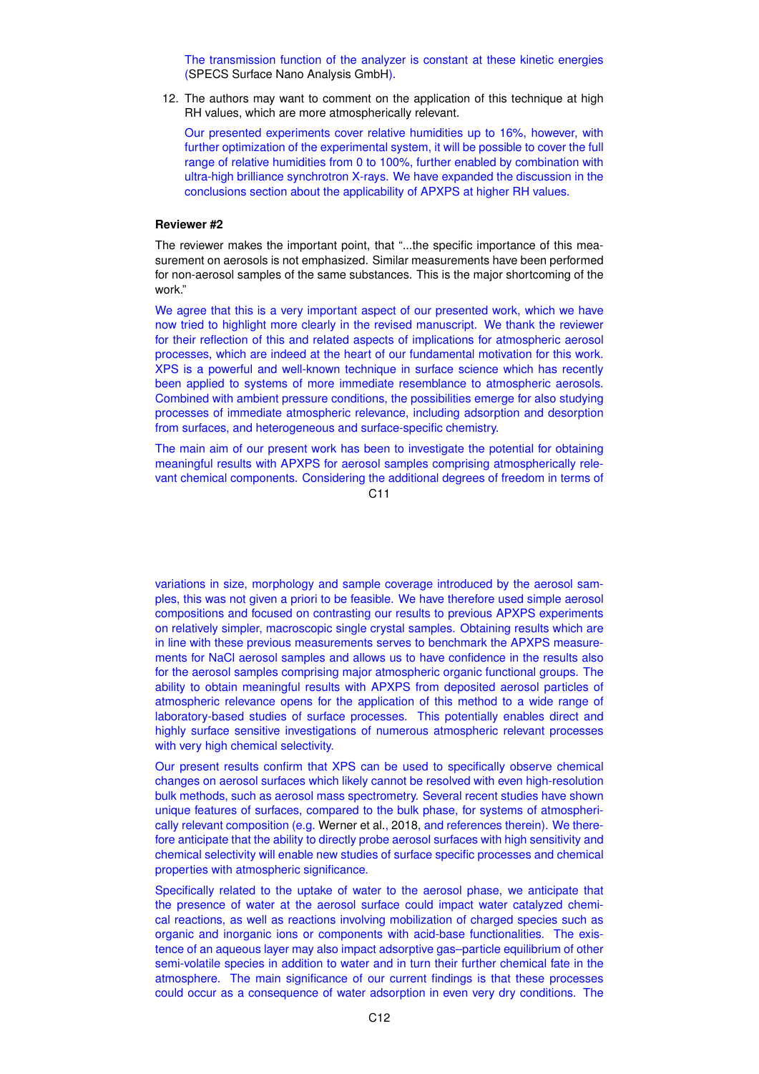The transmission function of the analyzer is constant at these kinetic energies (SPECS Surface Nano Analysis GmbH).

12. The authors may want to comment on the application of this technique at high RH values, which are more atmospherically relevant.

Our presented experiments cover relative humidities up to 16%, however, with further optimization of the experimental system, it will be possible to cover the full range of relative humidities from 0 to 100%, further enabled by combination with ultra-high brilliance synchrotron X-rays. We have expanded the discussion in the conclusions section about the applicability of APXPS at higher RH values.

### **Reviewer #2**

The reviewer makes the important point, that "...the specific importance of this measurement on aerosols is not emphasized. Similar measurements have been performed for non-aerosol samples of the same substances. This is the major shortcoming of the work."

We agree that this is a very important aspect of our presented work, which we have now tried to highlight more clearly in the revised manuscript. We thank the reviewer for their reflection of this and related aspects of implications for atmospheric aerosol processes, which are indeed at the heart of our fundamental motivation for this work. XPS is a powerful and well-known technique in surface science which has recently been applied to systems of more immediate resemblance to atmospheric aerosols. Combined with ambient pressure conditions, the possibilities emerge for also studying processes of immediate atmospheric relevance, including adsorption and desorption from surfaces, and heterogeneous and surface-specific chemistry.

The main aim of our present work has been to investigate the potential for obtaining meaningful results with APXPS for aerosol samples comprising atmospherically relevant chemical components. Considering the additional degrees of freedom in terms of

C11

variations in size, morphology and sample coverage introduced by the aerosol samples, this was not given a priori to be feasible. We have therefore used simple aerosol compositions and focused on contrasting our results to previous APXPS experiments on relatively simpler, macroscopic single crystal samples. Obtaining results which are in line with these previous measurements serves to benchmark the APXPS measurements for NaCl aerosol samples and allows us to have confidence in the results also for the aerosol samples comprising major atmospheric organic functional groups. The ability to obtain meaningful results with APXPS from deposited aerosol particles of atmospheric relevance opens for the application of this method to a wide range of laboratory-based studies of surface processes. This potentially enables direct and highly surface sensitive investigations of numerous atmospheric relevant processes with very high chemical selectivity.

Our present results confirm that XPS can be used to specifically observe chemical changes on aerosol surfaces which likely cannot be resolved with even high-resolution bulk methods, such as aerosol mass spectrometry. Several recent studies have shown unique features of surfaces, compared to the bulk phase, for systems of atmospherically relevant composition (e.g. Werner et al., 2018, and references therein). We therefore anticipate that the ability to directly probe aerosol surfaces with high sensitivity and chemical selectivity will enable new studies of surface specific processes and chemical properties with atmospheric significance.

Specifically related to the uptake of water to the aerosol phase, we anticipate that the presence of water at the aerosol surface could impact water catalyzed chemical reactions, as well as reactions involving mobilization of charged species such as organic and inorganic ions or components with acid-base functionalities. The existence of an aqueous layer may also impact adsorptive gas–particle equilibrium of other semi-volatile species in addition to water and in turn their further chemical fate in the atmosphere. The main significance of our current findings is that these processes could occur as a consequence of water adsorption in even very dry conditions. The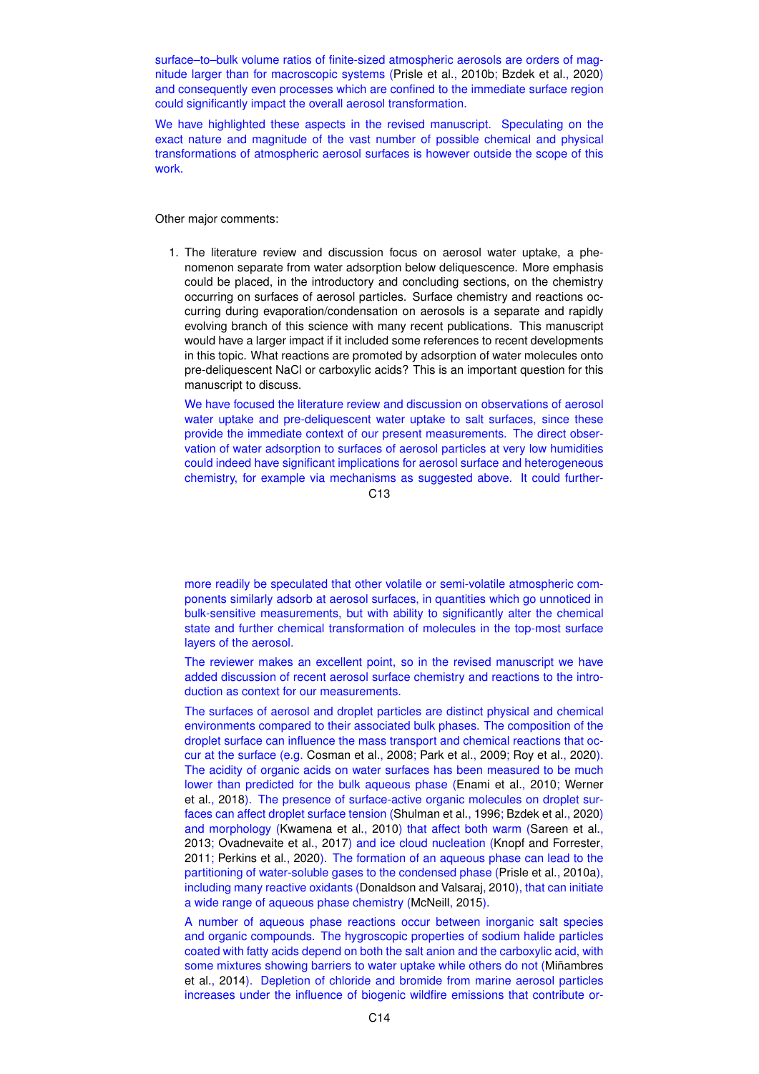surface–to–bulk volume ratios of finite-sized atmospheric aerosols are orders of magnitude larger than for macroscopic systems (Prisle et al., 2010b; Bzdek et al., 2020) and consequently even processes which are confined to the immediate surface region could significantly impact the overall aerosol transformation.

We have highlighted these aspects in the revised manuscript. Speculating on the exact nature and magnitude of the vast number of possible chemical and physical transformations of atmospheric aerosol surfaces is however outside the scope of this work.

Other major comments:

1. The literature review and discussion focus on aerosol water uptake, a phenomenon separate from water adsorption below deliquescence. More emphasis could be placed, in the introductory and concluding sections, on the chemistry occurring on surfaces of aerosol particles. Surface chemistry and reactions occurring during evaporation/condensation on aerosols is a separate and rapidly evolving branch of this science with many recent publications. This manuscript would have a larger impact if it included some references to recent developments in this topic. What reactions are promoted by adsorption of water molecules onto pre-deliquescent NaCl or carboxylic acids? This is an important question for this manuscript to discuss.

We have focused the literature review and discussion on observations of aerosol water uptake and pre-deliquescent water uptake to salt surfaces, since these provide the immediate context of our present measurements. The direct observation of water adsorption to surfaces of aerosol particles at very low humidities could indeed have significant implications for aerosol surface and heterogeneous chemistry, for example via mechanisms as suggested above. It could further-

 $C<sub>13</sub>$ 

more readily be speculated that other volatile or semi-volatile atmospheric components similarly adsorb at aerosol surfaces, in quantities which go unnoticed in bulk-sensitive measurements, but with ability to significantly alter the chemical state and further chemical transformation of molecules in the top-most surface layers of the aerosol.

The reviewer makes an excellent point, so in the revised manuscript we have added discussion of recent aerosol surface chemistry and reactions to the introduction as context for our measurements.

The surfaces of aerosol and droplet particles are distinct physical and chemical environments compared to their associated bulk phases. The composition of the droplet surface can influence the mass transport and chemical reactions that occur at the surface (e.g. Cosman et al., 2008; Park et al., 2009; Roy et al., 2020). The acidity of organic acids on water surfaces has been measured to be much lower than predicted for the bulk aqueous phase (Enami et al., 2010; Werner et al., 2018). The presence of surface-active organic molecules on droplet surfaces can affect droplet surface tension (Shulman et al., 1996; Bzdek et al., 2020) and morphology (Kwamena et al., 2010) that affect both warm (Sareen et al., 2013; Ovadnevaite et al., 2017) and ice cloud nucleation (Knopf and Forrester, 2011; Perkins et al., 2020). The formation of an aqueous phase can lead to the partitioning of water-soluble gases to the condensed phase (Prisle et al., 2010a), including many reactive oxidants (Donaldson and Valsaraj, 2010), that can initiate a wide range of aqueous phase chemistry (McNeill, 2015).

A number of aqueous phase reactions occur between inorganic salt species and organic compounds. The hygroscopic properties of sodium halide particles coated with fatty acids depend on both the salt anion and the carboxylic acid, with some mixtures showing barriers to water uptake while others do not (Miñambres et al., 2014). Depletion of chloride and bromide from marine aerosol particles increases under the influence of biogenic wildfire emissions that contribute or-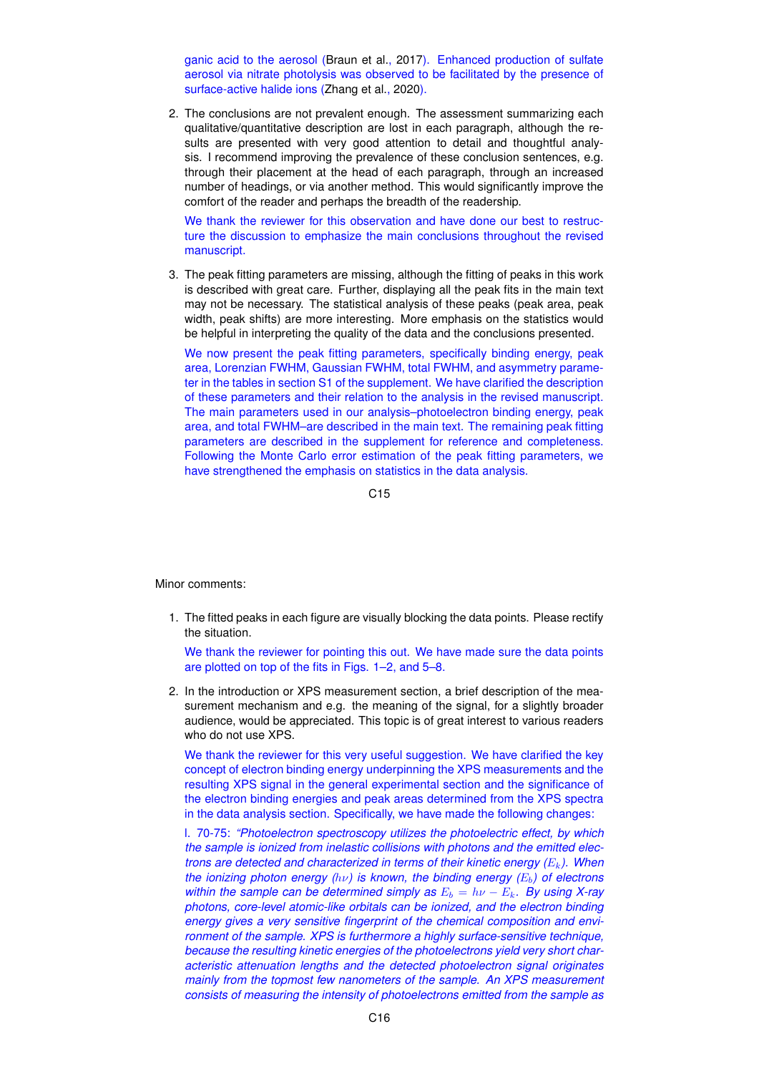ganic acid to the aerosol (Braun et al., 2017). Enhanced production of sulfate aerosol via nitrate photolysis was observed to be facilitated by the presence of surface-active halide ions (Zhang et al., 2020).

2. The conclusions are not prevalent enough. The assessment summarizing each qualitative/quantitative description are lost in each paragraph, although the results are presented with very good attention to detail and thoughtful analysis. I recommend improving the prevalence of these conclusion sentences, e.g. through their placement at the head of each paragraph, through an increased number of headings, or via another method. This would significantly improve the comfort of the reader and perhaps the breadth of the readership.

We thank the reviewer for this observation and have done our best to restructure the discussion to emphasize the main conclusions throughout the revised manuscript.

3. The peak fitting parameters are missing, although the fitting of peaks in this work is described with great care. Further, displaying all the peak fits in the main text may not be necessary. The statistical analysis of these peaks (peak area, peak width, peak shifts) are more interesting. More emphasis on the statistics would be helpful in interpreting the quality of the data and the conclusions presented.

We now present the peak fitting parameters, specifically binding energy, peak area, Lorenzian FWHM, Gaussian FWHM, total FWHM, and asymmetry parameter in the tables in section S1 of the supplement. We have clarified the description of these parameters and their relation to the analysis in the revised manuscript. The main parameters used in our analysis–photoelectron binding energy, peak area, and total FWHM–are described in the main text. The remaining peak fitting parameters are described in the supplement for reference and completeness. Following the Monte Carlo error estimation of the peak fitting parameters, we have strengthened the emphasis on statistics in the data analysis.

C15

Minor comments:

1. The fitted peaks in each figure are visually blocking the data points. Please rectify the situation.

We thank the reviewer for pointing this out. We have made sure the data points are plotted on top of the fits in Figs. 1–2, and 5–8.

2. In the introduction or XPS measurement section, a brief description of the measurement mechanism and e.g. the meaning of the signal, for a slightly broader audience, would be appreciated. This topic is of great interest to various readers who do not use XPS.

We thank the reviewer for this very useful suggestion. We have clarified the key concept of electron binding energy underpinning the XPS measurements and the resulting XPS signal in the general experimental section and the significance of the electron binding energies and peak areas determined from the XPS spectra in the data analysis section. Specifically, we have made the following changes:

l. 70-75: *"Photoelectron spectroscopy utilizes the photoelectric effect, by which the sample is ionized from inelastic collisions with photons and the emitted electrons are detected and characterized in terms of their kinetic energy (*Ek*). When the ionizing photon energy (hν) is known, the binding energy (E<sub>b</sub>) of electrons within the sample can be determined simply as*  $E_b = h\nu - E_k$ . By using X-ray *photons, core-level atomic-like orbitals can be ionized, and the electron binding energy gives a very sensitive fingerprint of the chemical composition and environment of the sample. XPS is furthermore a highly surface-sensitive technique, because the resulting kinetic energies of the photoelectrons yield very short characteristic attenuation lengths and the detected photoelectron signal originates mainly from the topmost few nanometers of the sample. An XPS measurement consists of measuring the intensity of photoelectrons emitted from the sample as*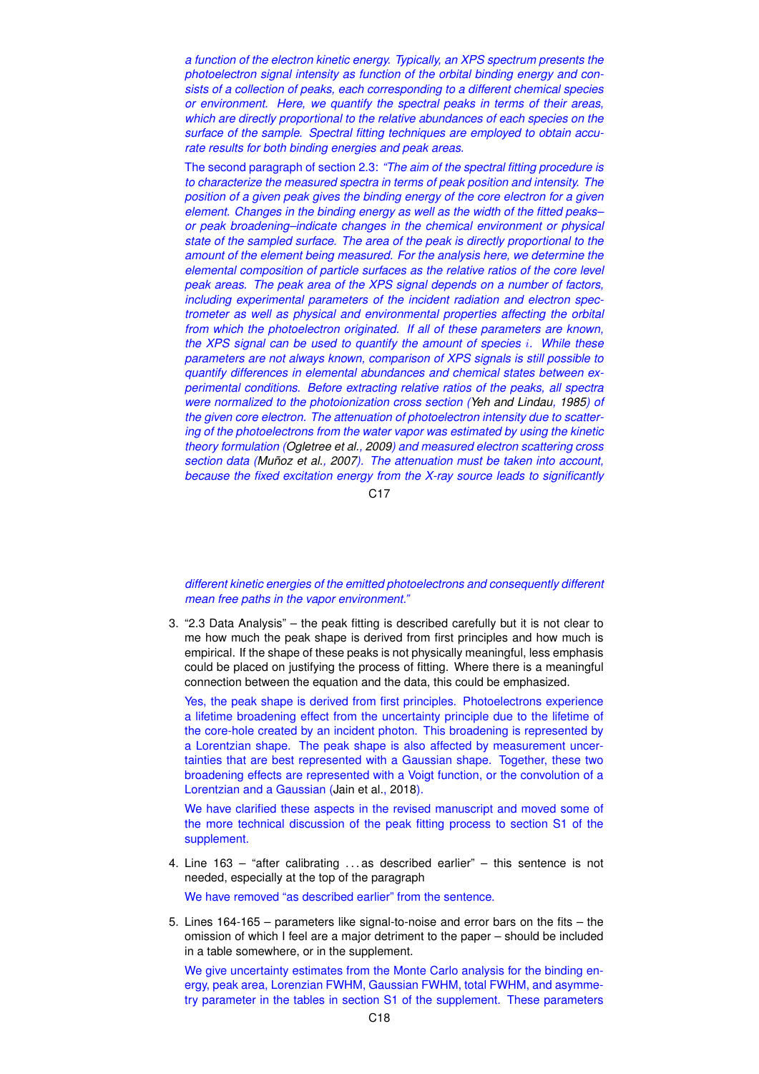*a function of the electron kinetic energy. Typically, an XPS spectrum presents the photoelectron signal intensity as function of the orbital binding energy and consists of a collection of peaks, each corresponding to a different chemical species or environment. Here, we quantify the spectral peaks in terms of their areas, which are directly proportional to the relative abundances of each species on the surface of the sample. Spectral fitting techniques are employed to obtain accurate results for both binding energies and peak areas.*

The second paragraph of section 2.3: *"The aim of the spectral fitting procedure is to characterize the measured spectra in terms of peak position and intensity. The position of a given peak gives the binding energy of the core electron for a given element. Changes in the binding energy as well as the width of the fitted peaks– or peak broadening–indicate changes in the chemical environment or physical state of the sampled surface. The area of the peak is directly proportional to the amount of the element being measured. For the analysis here, we determine the elemental composition of particle surfaces as the relative ratios of the core level peak areas. The peak area of the XPS signal depends on a number of factors, including experimental parameters of the incident radiation and electron spectrometer as well as physical and environmental properties affecting the orbital from which the photoelectron originated. If all of these parameters are known, the XPS signal can be used to quantify the amount of species* i*. While these parameters are not always known, comparison of XPS signals is still possible to quantify differences in elemental abundances and chemical states between experimental conditions. Before extracting relative ratios of the peaks, all spectra were normalized to the photoionization cross section (Yeh and Lindau, 1985) of the given core electron. The attenuation of photoelectron intensity due to scattering of the photoelectrons from the water vapor was estimated by using the kinetic theory formulation (Ogletree et al., 2009) and measured electron scattering cross section data (Muñoz et al., 2007). The attenuation must be taken into account, because the fixed excitation energy from the X-ray source leads to significantly*

 $C<sub>17</sub>$ 

*different kinetic energies of the emitted photoelectrons and consequently different mean free paths in the vapor environment."*

3. "2.3 Data Analysis" – the peak fitting is described carefully but it is not clear to me how much the peak shape is derived from first principles and how much is empirical. If the shape of these peaks is not physically meaningful, less emphasis could be placed on justifying the process of fitting. Where there is a meaningful connection between the equation and the data, this could be emphasized.

Yes, the peak shape is derived from first principles. Photoelectrons experience a lifetime broadening effect from the uncertainty principle due to the lifetime of the core-hole created by an incident photon. This broadening is represented by a Lorentzian shape. The peak shape is also affected by measurement uncertainties that are best represented with a Gaussian shape. Together, these two broadening effects are represented with a Voigt function, or the convolution of a Lorentzian and a Gaussian (Jain et al., 2018).

We have clarified these aspects in the revised manuscript and moved some of the more technical discussion of the peak fitting process to section S1 of the supplement.

4. Line 163 – "after calibrating . . . as described earlier" – this sentence is not needed, especially at the top of the paragraph

We have removed "as described earlier" from the sentence.

5. Lines 164-165 – parameters like signal-to-noise and error bars on the fits – the omission of which I feel are a major detriment to the paper – should be included in a table somewhere, or in the supplement.

We give uncertainty estimates from the Monte Carlo analysis for the binding energy, peak area, Lorenzian FWHM, Gaussian FWHM, total FWHM, and asymmetry parameter in the tables in section S1 of the supplement. These parameters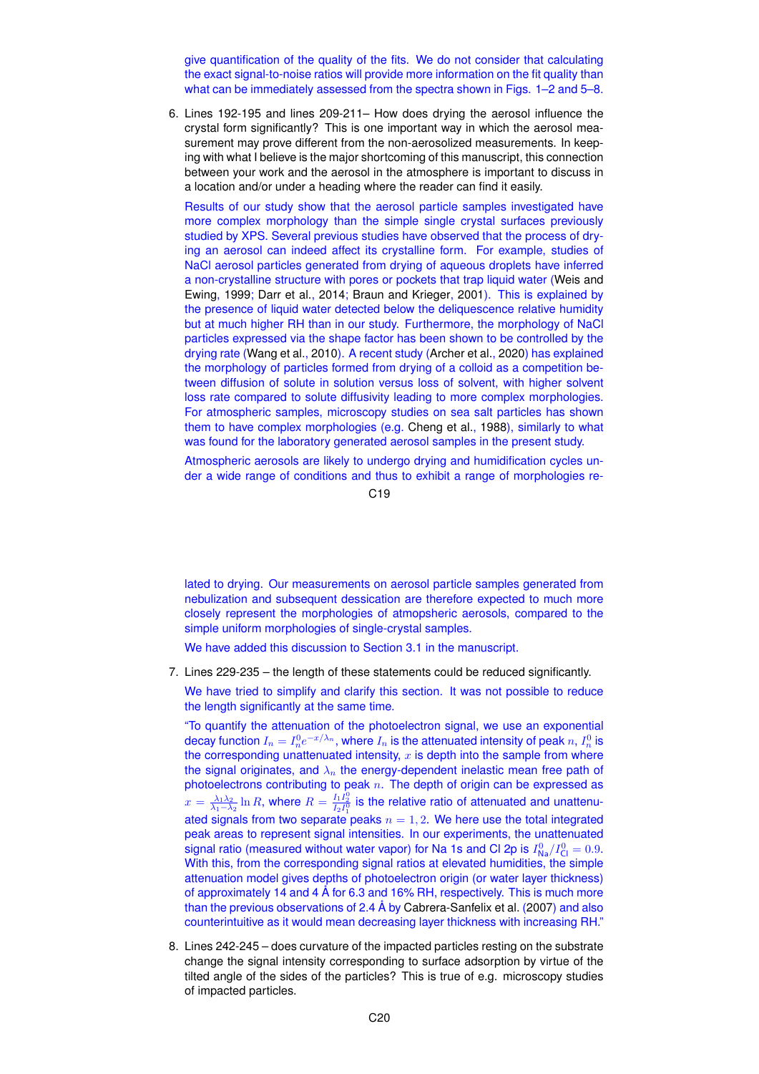give quantification of the quality of the fits. We do not consider that calculating the exact signal-to-noise ratios will provide more information on the fit quality than what can be immediately assessed from the spectra shown in Figs. 1–2 and 5–8.

6. Lines 192-195 and lines 209-211– How does drying the aerosol influence the crystal form significantly? This is one important way in which the aerosol measurement may prove different from the non-aerosolized measurements. In keeping with what I believe is the major shortcoming of this manuscript, this connection between your work and the aerosol in the atmosphere is important to discuss in a location and/or under a heading where the reader can find it easily.

Results of our study show that the aerosol particle samples investigated have more complex morphology than the simple single crystal surfaces previously studied by XPS. Several previous studies have observed that the process of drying an aerosol can indeed affect its crystalline form. For example, studies of NaCl aerosol particles generated from drying of aqueous droplets have inferred a non-crystalline structure with pores or pockets that trap liquid water (Weis and Ewing, 1999; Darr et al., 2014; Braun and Krieger, 2001). This is explained by the presence of liquid water detected below the deliquescence relative humidity but at much higher RH than in our study. Furthermore, the morphology of NaCl particles expressed via the shape factor has been shown to be controlled by the drying rate (Wang et al., 2010). A recent study (Archer et al., 2020) has explained the morphology of particles formed from drying of a colloid as a competition between diffusion of solute in solution versus loss of solvent, with higher solvent loss rate compared to solute diffusivity leading to more complex morphologies. For atmospheric samples, microscopy studies on sea salt particles has shown them to have complex morphologies (e.g. Cheng et al., 1988), similarly to what was found for the laboratory generated aerosol samples in the present study.

Atmospheric aerosols are likely to undergo drying and humidification cycles under a wide range of conditions and thus to exhibit a range of morphologies re-

 $C<sub>19</sub>$ 

lated to drying. Our measurements on aerosol particle samples generated from nebulization and subsequent dessication are therefore expected to much more closely represent the morphologies of atmopsheric aerosols, compared to the simple uniform morphologies of single-crystal samples.

We have added this discussion to Section 3.1 in the manuscript.

7. Lines 229-235 – the length of these statements could be reduced significantly.

We have tried to simplify and clarify this section. It was not possible to reduce the length significantly at the same time.

"To quantify the attenuation of the photoelectron signal, we use an exponential decay function  $I_n=I_n^0e^{-x/\lambda_n},$  where  $I_n$  is the attenuated intensity of peak  $n,$   $I_n^0$  is the corresponding unattenuated intensity,  $x$  is depth into the sample from where the signal originates, and  $\lambda_n$  the energy-dependent inelastic mean free path of photoelectrons contributing to peak  $n$ . The depth of origin can be expressed as  $x=\frac{\lambda_1\lambda_2}{\lambda_1-\lambda_2}\ln R$ , where  $R=\frac{I_1I_2^0}{I_2I_1^0}$  is the relative ratio of attenuated and unattenuated signals from two separate peaks  $n = 1, 2$ . We here use the total integrated peak areas to represent signal intensities. In our experiments, the unattenuated signal ratio (measured without water vapor) for Na 1s and Cl 2p is  $I^0_{\sf Na}/I^0_{\sf Cl} = 0.9.$ With this, from the corresponding signal ratios at elevated humidities, the simple attenuation model gives depths of photoelectron origin (or water layer thickness) of approximately 14 and 4 Å for 6.3 and 16% RH, respectively. This is much more than the previous observations of 2.4 Å by Cabrera-Sanfelix et al. (2007) and also counterintuitive as it would mean decreasing layer thickness with increasing RH."

8. Lines 242-245 – does curvature of the impacted particles resting on the substrate change the signal intensity corresponding to surface adsorption by virtue of the tilted angle of the sides of the particles? This is true of e.g. microscopy studies of impacted particles.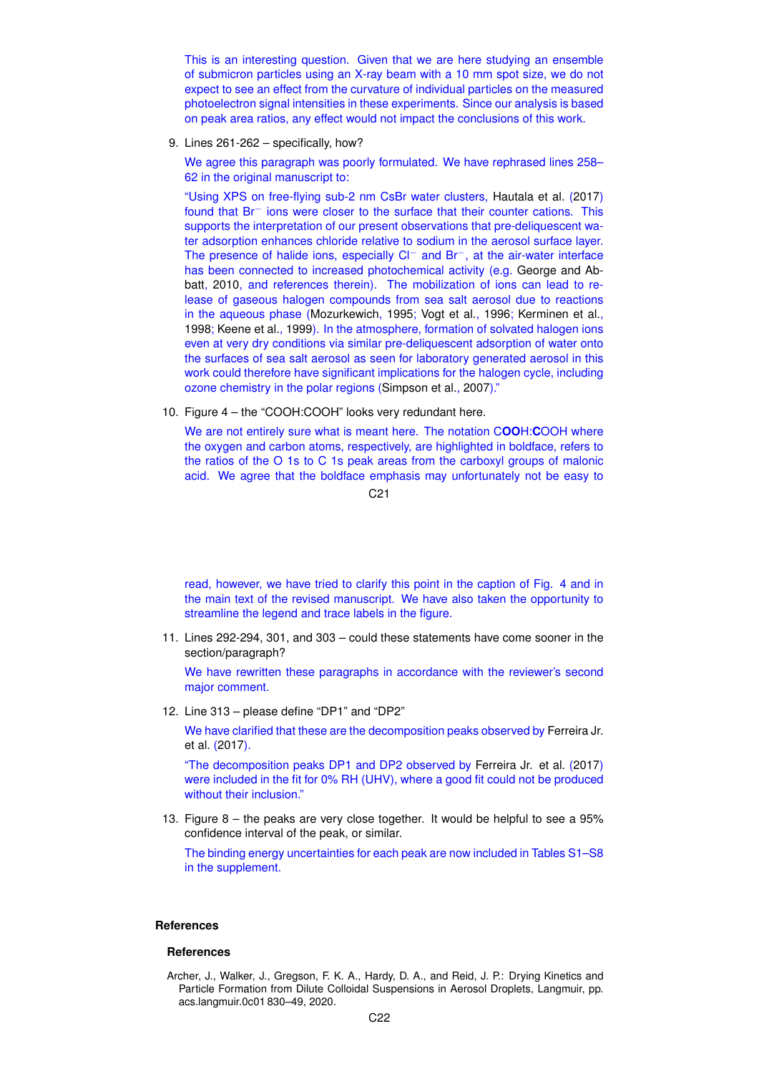This is an interesting question. Given that we are here studying an ensemble of submicron particles using an X-ray beam with a 10 mm spot size, we do not expect to see an effect from the curvature of individual particles on the measured photoelectron signal intensities in these experiments. Since our analysis is based on peak area ratios, any effect would not impact the conclusions of this work.

9. Lines 261-262 – specifically, how?

We agree this paragraph was poorly formulated. We have rephrased lines 258– 62 in the original manuscript to:

"Using XPS on free-flying sub-2 nm CsBr water clusters, Hautala et al. (2017) found that Br− ions were closer to the surface that their counter cations. This supports the interpretation of our present observations that pre-deliquescent water adsorption enhances chloride relative to sodium in the aerosol surface layer. The presence of halide ions, especially Cl<sup>−</sup> and Br<sup>−</sup>, at the air-water interface has been connected to increased photochemical activity (e.g. George and Abbatt, 2010, and references therein). The mobilization of ions can lead to release of gaseous halogen compounds from sea salt aerosol due to reactions in the aqueous phase (Mozurkewich, 1995; Vogt et al., 1996; Kerminen et al., 1998; Keene et al., 1999). In the atmosphere, formation of solvated halogen ions even at very dry conditions via similar pre-deliquescent adsorption of water onto the surfaces of sea salt aerosol as seen for laboratory generated aerosol in this work could therefore have significant implications for the halogen cycle, including ozone chemistry in the polar regions (Simpson et al., 2007)."

10. Figure 4 – the "COOH:COOH" looks very redundant here.

We are not entirely sure what is meant here. The notation C**OO**H:**C**OOH where the oxygen and carbon atoms, respectively, are highlighted in boldface, refers to the ratios of the O 1s to C 1s peak areas from the carboxyl groups of malonic acid. We agree that the boldface emphasis may unfortunately not be easy to

C21

read, however, we have tried to clarify this point in the caption of Fig. 4 and in the main text of the revised manuscript. We have also taken the opportunity to streamline the legend and trace labels in the figure.

11. Lines 292-294, 301, and 303 – could these statements have come sooner in the section/paragraph?

We have rewritten these paragraphs in accordance with the reviewer's second major comment.

12. Line 313 – please define "DP1" and "DP2"

We have clarified that these are the decomposition peaks observed by Ferreira Jr. et al. (2017).

"The decomposition peaks DP1 and DP2 observed by Ferreira Jr. et al. (2017) were included in the fit for 0% RH (UHV), where a good fit could not be produced without their inclusion."

13. Figure 8 – the peaks are very close together. It would be helpful to see a 95% confidence interval of the peak, or similar.

The binding energy uncertainties for each peak are now included in Tables S1–S8 in the supplement.

## **References**

#### **References**

Archer, J., Walker, J., Gregson, F. K. A., Hardy, D. A., and Reid, J. P.: Drying Kinetics and Particle Formation from Dilute Colloidal Suspensions in Aerosol Droplets, Langmuir, pp. acs.langmuir.0c01 830–49, 2020.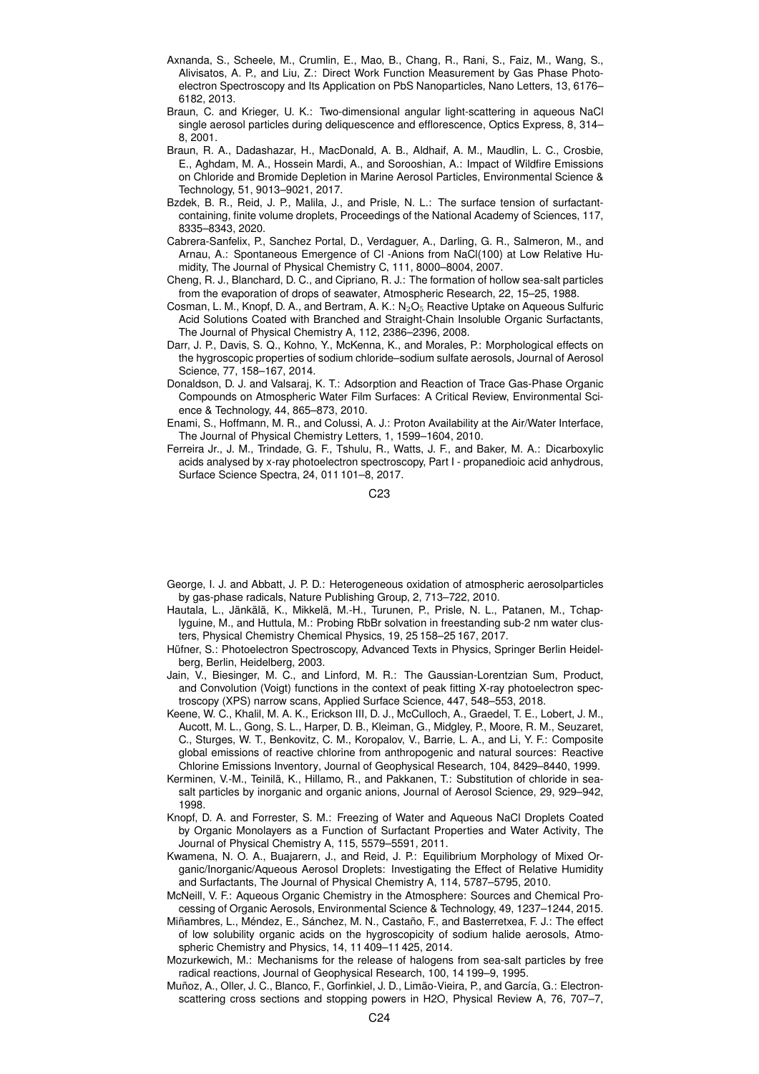- Axnanda, S., Scheele, M., Crumlin, E., Mao, B., Chang, R., Rani, S., Faiz, M., Wang, S., Alivisatos, A. P., and Liu, Z.: Direct Work Function Measurement by Gas Phase Photoelectron Spectroscopy and Its Application on PbS Nanoparticles, Nano Letters, 13, 6176– 6182, 2013.
- Braun, C. and Krieger, U. K.: Two-dimensional angular light-scattering in aqueous NaCl single aerosol particles during deliquescence and efflorescence, Optics Express, 8, 314– 8, 2001.
- Braun, R. A., Dadashazar, H., MacDonald, A. B., Aldhaif, A. M., Maudlin, L. C., Crosbie, E., Aghdam, M. A., Hossein Mardi, A., and Sorooshian, A.: Impact of Wildfire Emissions on Chloride and Bromide Depletion in Marine Aerosol Particles, Environmental Science & Technology, 51, 9013–9021, 2017.
- Bzdek, B. R., Reid, J. P., Malila, J., and Prisle, N. L.: The surface tension of surfactantcontaining, finite volume droplets, Proceedings of the National Academy of Sciences, 117, 8335–8343, 2020.
- Cabrera-Sanfelix, P., Sanchez Portal, D., Verdaguer, A., Darling, G. R., Salmeron, M., and Arnau, A.: Spontaneous Emergence of Cl -Anions from NaCl(100) at Low Relative Humidity, The Journal of Physical Chemistry C, 111, 8000–8004, 2007.
- Cheng, R. J., Blanchard, D. C., and Cipriano, R. J.: The formation of hollow sea-salt particles from the evaporation of drops of seawater, Atmospheric Research, 22, 15–25, 1988.
- Cosman, L. M., Knopf, D. A., and Bertram, A. K.:  $N_2O_5$  Reactive Uptake on Aqueous Sulfuric Acid Solutions Coated with Branched and Straight-Chain Insoluble Organic Surfactants, The Journal of Physical Chemistry A, 112, 2386–2396, 2008.
- Darr, J. P., Davis, S. Q., Kohno, Y., McKenna, K., and Morales, P.: Morphological effects on the hygroscopic properties of sodium chloride–sodium sulfate aerosols, Journal of Aerosol Science, 77, 158–167, 2014.
- Donaldson, D. J. and Valsaraj, K. T.: Adsorption and Reaction of Trace Gas-Phase Organic Compounds on Atmospheric Water Film Surfaces: A Critical Review, Environmental Science & Technology, 44, 865–873, 2010.
- Enami, S., Hoffmann, M. R., and Colussi, A. J.: Proton Availability at the Air/Water Interface, The Journal of Physical Chemistry Letters, 1, 1599–1604, 2010.
- Ferreira Jr., J. M., Trindade, G. F., Tshulu, R., Watts, J. F., and Baker, M. A.: Dicarboxylic acids analysed by x-ray photoelectron spectroscopy, Part I - propanedioic acid anhydrous, Surface Science Spectra, 24, 011 101–8, 2017.

C23

- George, I. J. and Abbatt, J. P. D.: Heterogeneous oxidation of atmospheric aerosolparticles by gas-phase radicals, Nature Publishing Group, 2, 713–722, 2010.
- Hautala, L., Jänkälä, K., Mikkelä, M.-H., Turunen, P., Prisle, N. L., Patanen, M., Tchaplyguine, M., and Huttula, M.: Probing RbBr solvation in freestanding sub-2 nm water clusters, Physical Chemistry Chemical Physics, 19, 25 158–25 167, 2017.
- Hüfner, S.: Photoelectron Spectroscopy, Advanced Texts in Physics, Springer Berlin Heidelberg, Berlin, Heidelberg, 2003.
- Jain, V., Biesinger, M. C., and Linford, M. R.: The Gaussian-Lorentzian Sum, Product, and Convolution (Voigt) functions in the context of peak fitting X-ray photoelectron spectroscopy (XPS) narrow scans, Applied Surface Science, 447, 548–553, 2018.
- Keene, W. C., Khalil, M. A. K., Erickson III, D. J., McCulloch, A., Graedel, T. E., Lobert, J. M., Aucott, M. L., Gong, S. L., Harper, D. B., Kleiman, G., Midgley, P., Moore, R. M., Seuzaret, C., Sturges, W. T., Benkovitz, C. M., Koropalov, V., Barrie, L. A., and Li, Y. F.: Composite global emissions of reactive chlorine from anthropogenic and natural sources: Reactive Chlorine Emissions Inventory, Journal of Geophysical Research, 104, 8429–8440, 1999.
- Kerminen, V.-M., Teinilä, K., Hillamo, R., and Pakkanen, T.: Substitution of chloride in seasalt particles by inorganic and organic anions, Journal of Aerosol Science, 29, 929–942, 1998.
- Knopf, D. A. and Forrester, S. M.: Freezing of Water and Aqueous NaCl Droplets Coated by Organic Monolayers as a Function of Surfactant Properties and Water Activity, The Journal of Physical Chemistry A, 115, 5579–5591, 2011.
- Kwamena, N. O. A., Buajarern, J., and Reid, J. P.: Equilibrium Morphology of Mixed Organic/Inorganic/Aqueous Aerosol Droplets: Investigating the Effect of Relative Humidity and Surfactants, The Journal of Physical Chemistry A, 114, 5787–5795, 2010.
- McNeill, V. F.: Aqueous Organic Chemistry in the Atmosphere: Sources and Chemical Processing of Organic Aerosols, Environmental Science & Technology, 49, 1237–1244, 2015.
- Miñambres, L., Méndez, E., Sánchez, M. N., Castaño, F., and Basterretxea, F. J.: The effect of low solubility organic acids on the hygroscopicity of sodium halide aerosols, Atmospheric Chemistry and Physics, 14, 11 409–11 425, 2014.
- Mozurkewich, M.: Mechanisms for the release of halogens from sea-salt particles by free radical reactions, Journal of Geophysical Research, 100, 14 199–9, 1995.
- Muñoz, A., Oller, J. C., Blanco, F., Gorfinkiel, J. D., Limão-Vieira, P., and García, G.: Electronscattering cross sections and stopping powers in H2O, Physical Review A, 76, 707–7,